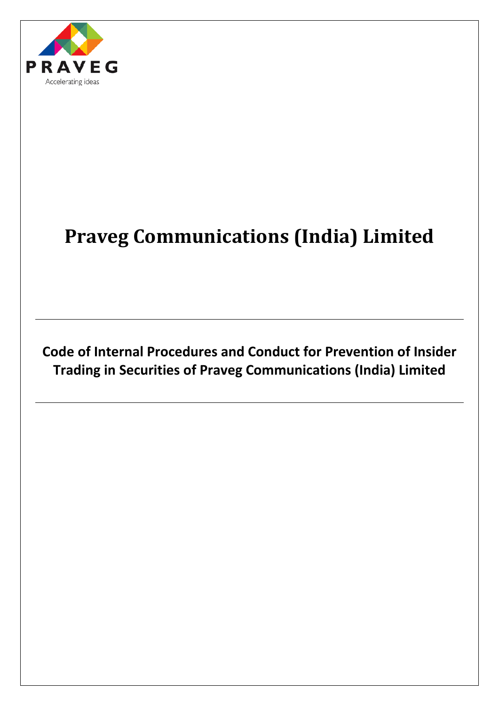

# **Praveg Communications (India) Limited**

**Code of Internal Procedures and Conduct for Prevention of Insider Trading in Securities of Praveg Communications (India) Limited**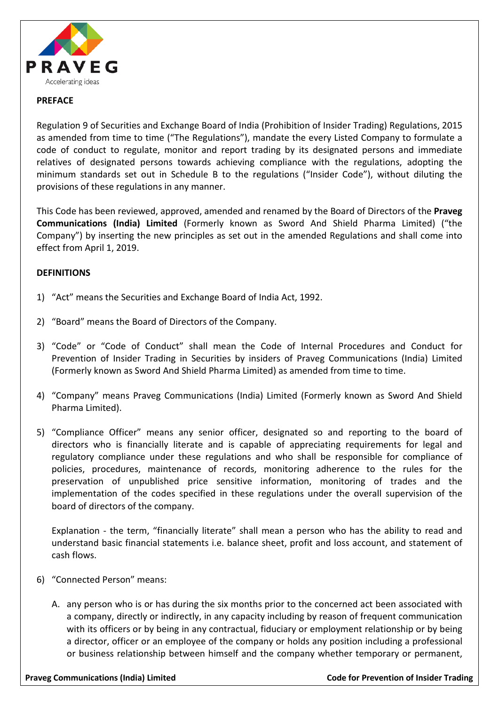

#### **PREFACE**

Regulation 9 of Securities and Exchange Board of India (Prohibition of Insider Trading) Regulations, 2015 as amended from time to time ("The Regulations"), mandate the every Listed Company to formulate a code of conduct to regulate, monitor and report trading by its designated persons and immediate relatives of designated persons towards achieving compliance with the regulations, adopting the minimum standards set out in Schedule B to the regulations ("Insider Code"), without diluting the provisions of these regulations in any manner.

This Code has been reviewed, approved, amended and renamed by the Board of Directors of the **Praveg Communications (India) Limited** (Formerly known as Sword And Shield Pharma Limited) ("the Company") by inserting the new principles as set out in the amended Regulations and shall come into effect from April 1, 2019.

#### **DEFINITIONS**

- 1) "Act" means the Securities and Exchange Board of India Act, 1992.
- 2) "Board" means the Board of Directors of the Company.
- 3) "Code" or "Code of Conduct" shall mean the Code of Internal Procedures and Conduct for Prevention of Insider Trading in Securities by insiders of Praveg Communications (India) Limited (Formerly known as Sword And Shield Pharma Limited) as amended from time to time.
- 4) "Company" means Praveg Communications (India) Limited (Formerly known as Sword And Shield Pharma Limited).
- 5) "Compliance Officer" means any senior officer, designated so and reporting to the board of directors who is financially literate and is capable of appreciating requirements for legal and regulatory compliance under these regulations and who shall be responsible for compliance of policies, procedures, maintenance of records, monitoring adherence to the rules for the preservation of unpublished price sensitive information, monitoring of trades and the implementation of the codes specified in these regulations under the overall supervision of the board of directors of the company.

Explanation - the term, "financially literate" shall mean a person who has the ability to read and understand basic financial statements i.e. balance sheet, profit and loss account, and statement of cash flows.

- 6) "Connected Person" means:
	- A. any person who is or has during the six months prior to the concerned act been associated with a company, directly or indirectly, in any capacity including by reason of frequent communication with its officers or by being in any contractual, fiduciary or employment relationship or by being a director, officer or an employee of the company or holds any position including a professional or business relationship between himself and the company whether temporary or permanent,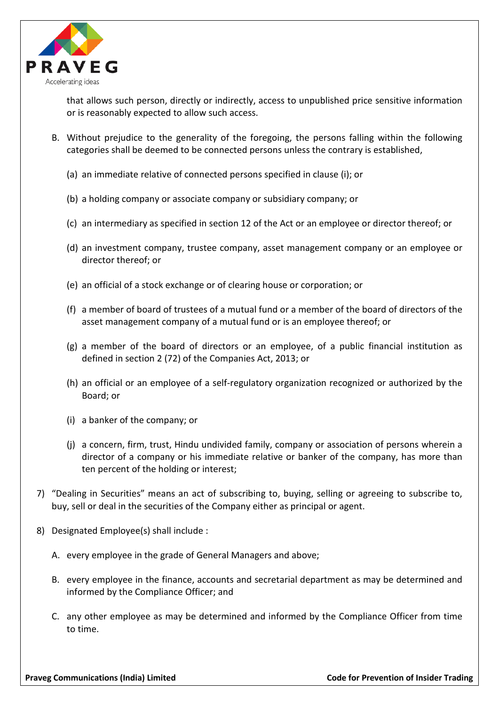

that allows such person, directly or indirectly, access to unpublished price sensitive information or is reasonably expected to allow such access.

- B. Without prejudice to the generality of the foregoing, the persons falling within the following categories shall be deemed to be connected persons unless the contrary is established,
	- (a) an immediate relative of connected persons specified in clause (i); or
	- (b) a holding company or associate company or subsidiary company; or
	- (c) an intermediary as specified in section 12 of the Act or an employee or director thereof; or
	- (d) an investment company, trustee company, asset management company or an employee or director thereof; or
	- (e) an official of a stock exchange or of clearing house or corporation; or
	- (f) a member of board of trustees of a mutual fund or a member of the board of directors of the asset management company of a mutual fund or is an employee thereof; or
	- (g) a member of the board of directors or an employee, of a public financial institution as defined in section 2 (72) of the Companies Act, 2013; or
	- (h) an official or an employee of a self-regulatory organization recognized or authorized by the Board; or
	- (i) a banker of the company; or
	- (j) a concern, firm, trust, Hindu undivided family, company or association of persons wherein a director of a company or his immediate relative or banker of the company, has more than ten percent of the holding or interest;
- 7) "Dealing in Securities" means an act of subscribing to, buying, selling or agreeing to subscribe to, buy, sell or deal in the securities of the Company either as principal or agent.
- 8) Designated Employee(s) shall include :
	- A. every employee in the grade of General Managers and above;
	- B. every employee in the finance, accounts and secretarial department as may be determined and informed by the Compliance Officer; and
	- C. any other employee as may be determined and informed by the Compliance Officer from time to time.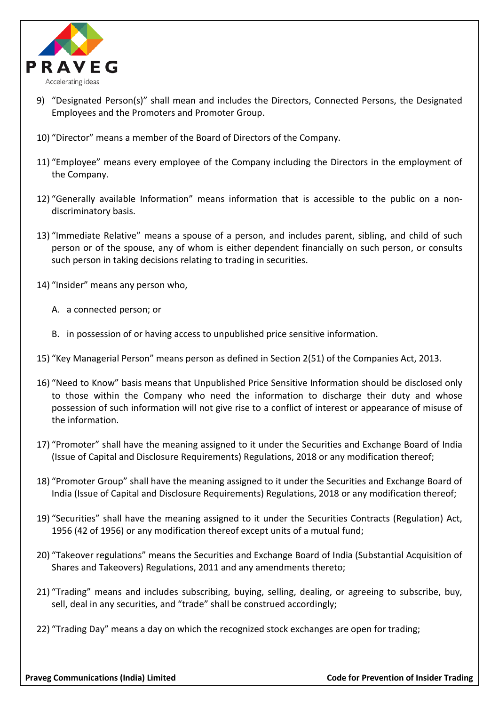

- 9) "Designated Person(s)" shall mean and includes the Directors, Connected Persons, the Designated Employees and the Promoters and Promoter Group.
- 10) "Director" means a member of the Board of Directors of the Company.
- 11) "Employee" means every employee of the Company including the Directors in the employment of the Company.
- 12) "Generally available Information" means information that is accessible to the public on a nondiscriminatory basis.
- 13) "Immediate Relative" means a spouse of a person, and includes parent, sibling, and child of such person or of the spouse, any of whom is either dependent financially on such person, or consults such person in taking decisions relating to trading in securities.
- 14) "Insider" means any person who,
	- A. a connected person; or
	- B. in possession of or having access to unpublished price sensitive information.
- 15) "Key Managerial Person" means person as defined in Section 2(51) of the Companies Act, 2013.
- 16) "Need to Know" basis means that Unpublished Price Sensitive Information should be disclosed only to those within the Company who need the information to discharge their duty and whose possession of such information will not give rise to a conflict of interest or appearance of misuse of the information.
- 17) "Promoter" shall have the meaning assigned to it under the Securities and Exchange Board of India (Issue of Capital and Disclosure Requirements) Regulations, 2018 or any modification thereof;
- 18) "Promoter Group" shall have the meaning assigned to it under the Securities and Exchange Board of India (Issue of Capital and Disclosure Requirements) Regulations, 2018 or any modification thereof;
- 19) "Securities" shall have the meaning assigned to it under the Securities Contracts (Regulation) Act, 1956 (42 of 1956) or any modification thereof except units of a mutual fund;
- 20) "Takeover regulations" means the Securities and Exchange Board of India (Substantial Acquisition of Shares and Takeovers) Regulations, 2011 and any amendments thereto;
- 21) "Trading" means and includes subscribing, buying, selling, dealing, or agreeing to subscribe, buy, sell, deal in any securities, and "trade" shall be construed accordingly;
- 22) "Trading Day" means a day on which the recognized stock exchanges are open for trading;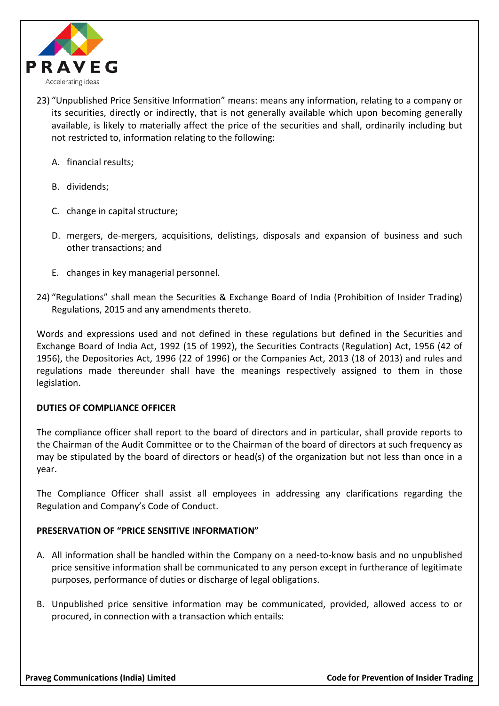

- 23) "Unpublished Price Sensitive Information" means: means any information, relating to a company or its securities, directly or indirectly, that is not generally available which upon becoming generally available, is likely to materially affect the price of the securities and shall, ordinarily including but not restricted to, information relating to the following:
	- A. financial results;
	- B. dividends;
	- C. change in capital structure;
	- D. mergers, de-mergers, acquisitions, delistings, disposals and expansion of business and such other transactions; and
	- E. changes in key managerial personnel.
- 24) "Regulations" shall mean the Securities & Exchange Board of India (Prohibition of Insider Trading) Regulations, 2015 and any amendments thereto.

Words and expressions used and not defined in these regulations but defined in the Securities and Exchange Board of India Act, 1992 (15 of 1992), the Securities Contracts (Regulation) Act, 1956 (42 of 1956), the Depositories Act, 1996 (22 of 1996) or the Companies Act, 2013 (18 of 2013) and rules and regulations made thereunder shall have the meanings respectively assigned to them in those legislation.

#### **DUTIES OF COMPLIANCE OFFICER**

The compliance officer shall report to the board of directors and in particular, shall provide reports to the Chairman of the Audit Committee or to the Chairman of the board of directors at such frequency as may be stipulated by the board of directors or head(s) of the organization but not less than once in a year.

The Compliance Officer shall assist all employees in addressing any clarifications regarding the Regulation and Company's Code of Conduct.

# **PRESERVATION OF "PRICE SENSITIVE INFORMATION"**

- A. All information shall be handled within the Company on a need-to-know basis and no unpublished price sensitive information shall be communicated to any person except in furtherance of legitimate purposes, performance of duties or discharge of legal obligations.
- B. Unpublished price sensitive information may be communicated, provided, allowed access to or procured, in connection with a transaction which entails: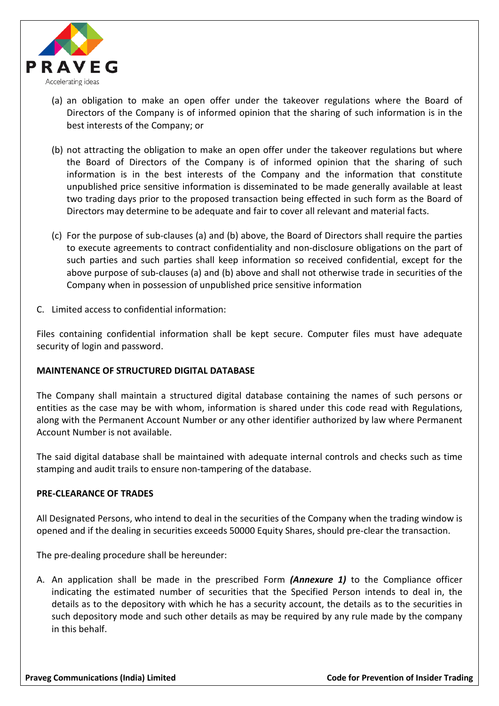

- (a) an obligation to make an open offer under the takeover regulations where the Board of Directors of the Company is of informed opinion that the sharing of such information is in the best interests of the Company; or
- (b) not attracting the obligation to make an open offer under the takeover regulations but where the Board of Directors of the Company is of informed opinion that the sharing of such information is in the best interests of the Company and the information that constitute unpublished price sensitive information is disseminated to be made generally available at least two trading days prior to the proposed transaction being effected in such form as the Board of Directors may determine to be adequate and fair to cover all relevant and material facts.
- (c) For the purpose of sub-clauses (a) and (b) above, the Board of Directors shall require the parties to execute agreements to contract confidentiality and non-disclosure obligations on the part of such parties and such parties shall keep information so received confidential, except for the above purpose of sub-clauses (a) and (b) above and shall not otherwise trade in securities of the Company when in possession of unpublished price sensitive information
- C. Limited access to confidential information:

Files containing confidential information shall be kept secure. Computer files must have adequate security of login and password.

# **MAINTENANCE OF STRUCTURED DIGITAL DATABASE**

The Company shall maintain a structured digital database containing the names of such persons or entities as the case may be with whom, information is shared under this code read with Regulations, along with the Permanent Account Number or any other identifier authorized by law where Permanent Account Number is not available.

The said digital database shall be maintained with adequate internal controls and checks such as time stamping and audit trails to ensure non-tampering of the database.

#### **PRE-CLEARANCE OF TRADES**

All Designated Persons, who intend to deal in the securities of the Company when the trading window is opened and if the dealing in securities exceeds 50000 Equity Shares, should pre-clear the transaction.

The pre-dealing procedure shall be hereunder:

A. An application shall be made in the prescribed Form *(Annexure 1)* to the Compliance officer indicating the estimated number of securities that the Specified Person intends to deal in, the details as to the depository with which he has a security account, the details as to the securities in such depository mode and such other details as may be required by any rule made by the company in this behalf.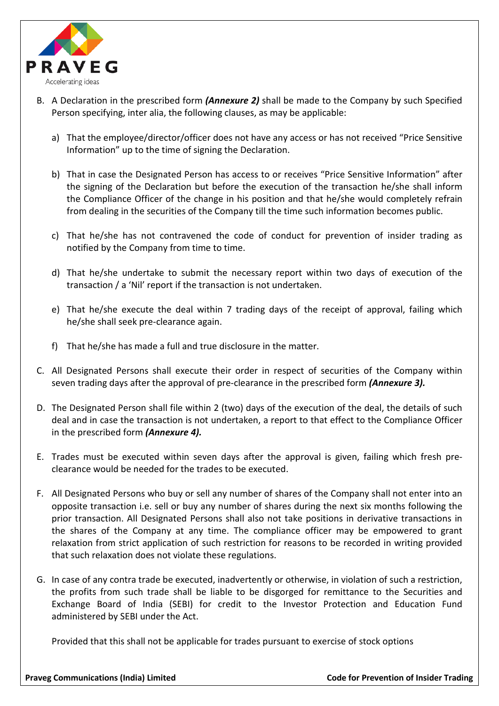

- B. A Declaration in the prescribed form *(Annexure 2)* shall be made to the Company by such Specified Person specifying, inter alia, the following clauses, as may be applicable:
	- a) That the employee/director/officer does not have any access or has not received "Price Sensitive Information" up to the time of signing the Declaration.
	- b) That in case the Designated Person has access to or receives "Price Sensitive Information" after the signing of the Declaration but before the execution of the transaction he/she shall inform the Compliance Officer of the change in his position and that he/she would completely refrain from dealing in the securities of the Company till the time such information becomes public.
	- c) That he/she has not contravened the code of conduct for prevention of insider trading as notified by the Company from time to time.
	- d) That he/she undertake to submit the necessary report within two days of execution of the transaction / a 'Nil' report if the transaction is not undertaken.
	- e) That he/she execute the deal within 7 trading days of the receipt of approval, failing which he/she shall seek pre-clearance again.
	- f) That he/she has made a full and true disclosure in the matter.
- C. All Designated Persons shall execute their order in respect of securities of the Company within seven trading days after the approval of pre-clearance in the prescribed form *(Annexure 3).*
- D. The Designated Person shall file within 2 (two) days of the execution of the deal, the details of such deal and in case the transaction is not undertaken, a report to that effect to the Compliance Officer in the prescribed form *(Annexure 4).*
- E. Trades must be executed within seven days after the approval is given, failing which fresh preclearance would be needed for the trades to be executed.
- F. All Designated Persons who buy or sell any number of shares of the Company shall not enter into an opposite transaction i.e. sell or buy any number of shares during the next six months following the prior transaction. All Designated Persons shall also not take positions in derivative transactions in the shares of the Company at any time. The compliance officer may be empowered to grant relaxation from strict application of such restriction for reasons to be recorded in writing provided that such relaxation does not violate these regulations.
- G. In case of any contra trade be executed, inadvertently or otherwise, in violation of such a restriction, the profits from such trade shall be liable to be disgorged for remittance to the Securities and Exchange Board of India (SEBI) for credit to the Investor Protection and Education Fund administered by SEBI under the Act.

Provided that this shall not be applicable for trades pursuant to exercise of stock options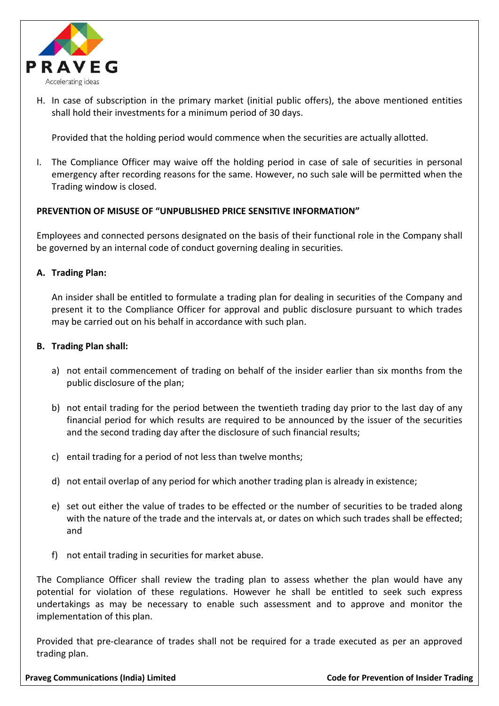

H. In case of subscription in the primary market (initial public offers), the above mentioned entities shall hold their investments for a minimum period of 30 days.

Provided that the holding period would commence when the securities are actually allotted.

I. The Compliance Officer may waive off the holding period in case of sale of securities in personal emergency after recording reasons for the same. However, no such sale will be permitted when the Trading window is closed.

#### **PREVENTION OF MISUSE OF "UNPUBLISHED PRICE SENSITIVE INFORMATION"**

Employees and connected persons designated on the basis of their functional role in the Company shall be governed by an internal code of conduct governing dealing in securities.

#### **A. Trading Plan:**

An insider shall be entitled to formulate a trading plan for dealing in securities of the Company and present it to the Compliance Officer for approval and public disclosure pursuant to which trades may be carried out on his behalf in accordance with such plan.

#### **B. Trading Plan shall:**

- a) not entail commencement of trading on behalf of the insider earlier than six months from the public disclosure of the plan;
- b) not entail trading for the period between the twentieth trading day prior to the last day of any financial period for which results are required to be announced by the issuer of the securities and the second trading day after the disclosure of such financial results;
- c) entail trading for a period of not less than twelve months;
- d) not entail overlap of any period for which another trading plan is already in existence;
- e) set out either the value of trades to be effected or the number of securities to be traded along with the nature of the trade and the intervals at, or dates on which such trades shall be effected; and
- f) not entail trading in securities for market abuse.

The Compliance Officer shall review the trading plan to assess whether the plan would have any potential for violation of these regulations. However he shall be entitled to seek such express undertakings as may be necessary to enable such assessment and to approve and monitor the implementation of this plan.

Provided that pre-clearance of trades shall not be required for a trade executed as per an approved trading plan.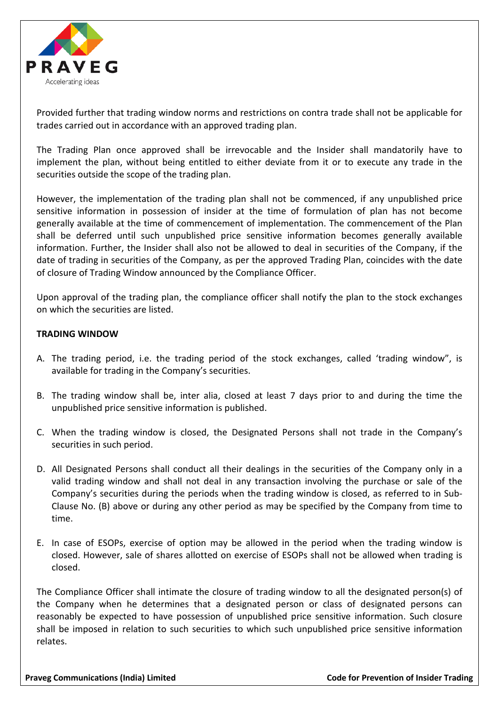

Provided further that trading window norms and restrictions on contra trade shall not be applicable for trades carried out in accordance with an approved trading plan.

The Trading Plan once approved shall be irrevocable and the Insider shall mandatorily have to implement the plan, without being entitled to either deviate from it or to execute any trade in the securities outside the scope of the trading plan.

However, the implementation of the trading plan shall not be commenced, if any unpublished price sensitive information in possession of insider at the time of formulation of plan has not become generally available at the time of commencement of implementation. The commencement of the Plan shall be deferred until such unpublished price sensitive information becomes generally available information. Further, the Insider shall also not be allowed to deal in securities of the Company, if the date of trading in securities of the Company, as per the approved Trading Plan, coincides with the date of closure of Trading Window announced by the Compliance Officer.

Upon approval of the trading plan, the compliance officer shall notify the plan to the stock exchanges on which the securities are listed.

#### **TRADING WINDOW**

- A. The trading period, i.e. the trading period of the stock exchanges, called 'trading window", is available for trading in the Company's securities.
- B. The trading window shall be, inter alia, closed at least 7 days prior to and during the time the unpublished price sensitive information is published.
- C. When the trading window is closed, the Designated Persons shall not trade in the Company's securities in such period.
- D. All Designated Persons shall conduct all their dealings in the securities of the Company only in a valid trading window and shall not deal in any transaction involving the purchase or sale of the Company's securities during the periods when the trading window is closed, as referred to in Sub-Clause No. (B) above or during any other period as may be specified by the Company from time to time.
- E. In case of ESOPs, exercise of option may be allowed in the period when the trading window is closed. However, sale of shares allotted on exercise of ESOPs shall not be allowed when trading is closed.

The Compliance Officer shall intimate the closure of trading window to all the designated person(s) of the Company when he determines that a designated person or class of designated persons can reasonably be expected to have possession of unpublished price sensitive information. Such closure shall be imposed in relation to such securities to which such unpublished price sensitive information relates.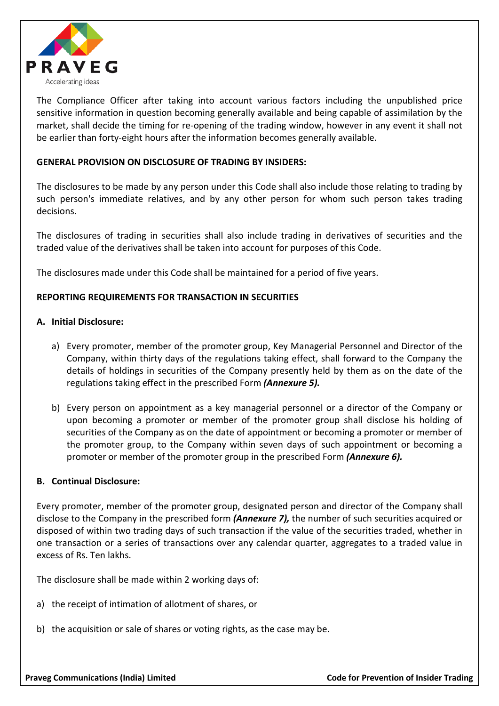

The Compliance Officer after taking into account various factors including the unpublished price sensitive information in question becoming generally available and being capable of assimilation by the market, shall decide the timing for re-opening of the trading window, however in any event it shall not be earlier than forty-eight hours after the information becomes generally available.

## **GENERAL PROVISION ON DISCLOSURE OF TRADING BY INSIDERS:**

The disclosures to be made by any person under this Code shall also include those relating to trading by such person's immediate relatives, and by any other person for whom such person takes trading decisions.

The disclosures of trading in securities shall also include trading in derivatives of securities and the traded value of the derivatives shall be taken into account for purposes of this Code.

The disclosures made under this Code shall be maintained for a period of five years.

## **REPORTING REQUIREMENTS FOR TRANSACTION IN SECURITIES**

#### **A. Initial Disclosure:**

- a) Every promoter, member of the promoter group, Key Managerial Personnel and Director of the Company, within thirty days of the regulations taking effect, shall forward to the Company the details of holdings in securities of the Company presently held by them as on the date of the regulations taking effect in the prescribed Form *(Annexure 5).*
- b) Every person on appointment as a key managerial personnel or a director of the Company or upon becoming a promoter or member of the promoter group shall disclose his holding of securities of the Company as on the date of appointment or becoming a promoter or member of the promoter group, to the Company within seven days of such appointment or becoming a promoter or member of the promoter group in the prescribed Form *(Annexure 6).*

#### **B. Continual Disclosure:**

Every promoter, member of the promoter group, designated person and director of the Company shall disclose to the Company in the prescribed form *(Annexure 7),* the number of such securities acquired or disposed of within two trading days of such transaction if the value of the securities traded, whether in one transaction or a series of transactions over any calendar quarter, aggregates to a traded value in excess of Rs. Ten lakhs.

The disclosure shall be made within 2 working days of:

- a) the receipt of intimation of allotment of shares, or
- b) the acquisition or sale of shares or voting rights, as the case may be.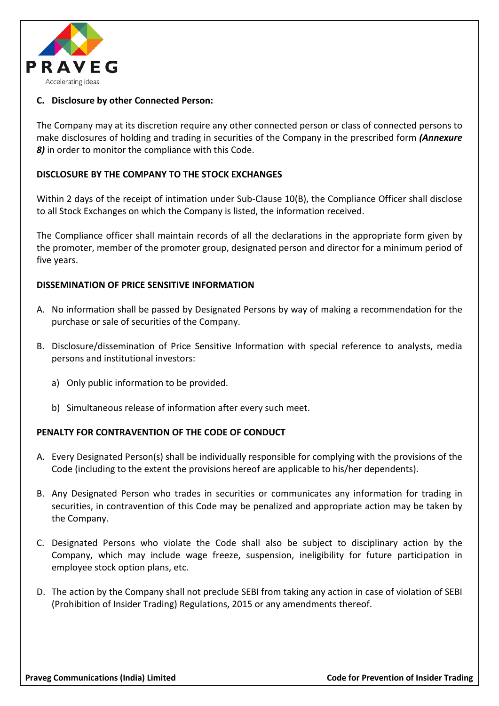

# **C. Disclosure by other Connected Person:**

The Company may at its discretion require any other connected person or class of connected persons to make disclosures of holding and trading in securities of the Company in the prescribed form *(Annexure 8)* in order to monitor the compliance with this Code.

#### **DISCLOSURE BY THE COMPANY TO THE STOCK EXCHANGES**

Within 2 days of the receipt of intimation under Sub-Clause 10(B), the Compliance Officer shall disclose to all Stock Exchanges on which the Company is listed, the information received.

The Compliance officer shall maintain records of all the declarations in the appropriate form given by the promoter, member of the promoter group, designated person and director for a minimum period of five years.

#### **DISSEMINATION OF PRICE SENSITIVE INFORMATION**

- A. No information shall be passed by Designated Persons by way of making a recommendation for the purchase or sale of securities of the Company.
- B. Disclosure/dissemination of Price Sensitive Information with special reference to analysts, media persons and institutional investors:
	- a) Only public information to be provided.
	- b) Simultaneous release of information after every such meet.

#### **PENALTY FOR CONTRAVENTION OF THE CODE OF CONDUCT**

- A. Every Designated Person(s) shall be individually responsible for complying with the provisions of the Code (including to the extent the provisions hereof are applicable to his/her dependents).
- B. Any Designated Person who trades in securities or communicates any information for trading in securities, in contravention of this Code may be penalized and appropriate action may be taken by the Company.
- C. Designated Persons who violate the Code shall also be subject to disciplinary action by the Company, which may include wage freeze, suspension, ineligibility for future participation in employee stock option plans, etc.
- D. The action by the Company shall not preclude SEBI from taking any action in case of violation of SEBI (Prohibition of Insider Trading) Regulations, 2015 or any amendments thereof.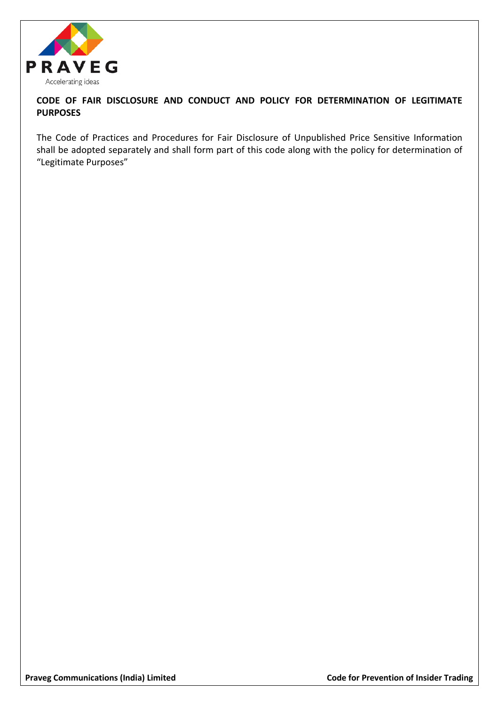

# **CODE OF FAIR DISCLOSURE AND CONDUCT AND POLICY FOR DETERMINATION OF LEGITIMATE PURPOSES**

The Code of Practices and Procedures for Fair Disclosure of Unpublished Price Sensitive Information shall be adopted separately and shall form part of this code along with the policy for determination of "Legitimate Purposes"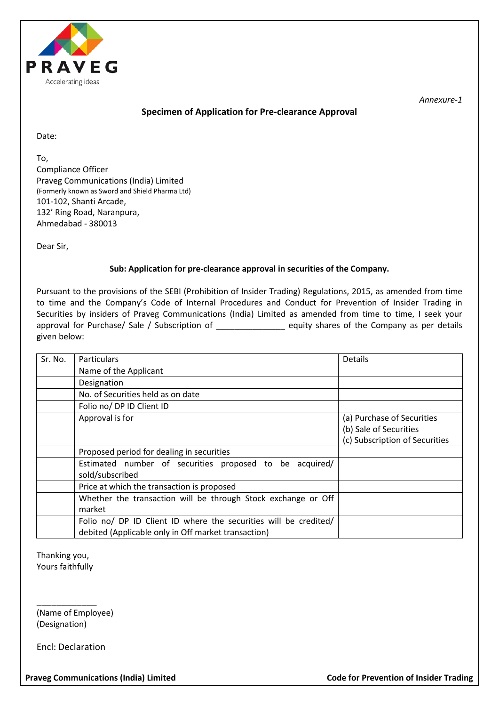

#### **Specimen of Application for Pre-clearance Approval**

Date:

To, Compliance Officer Praveg Communications (India) Limited (Formerly known as Sword and Shield Pharma Ltd) 101-102, Shanti Arcade, 132' Ring Road, Naranpura, Ahmedabad - 380013

Dear Sir,

#### **Sub: Application for pre-clearance approval in securities of the Company.**

Pursuant to the provisions of the SEBI (Prohibition of Insider Trading) Regulations, 2015, as amended from time to time and the Company's Code of Internal Procedures and Conduct for Prevention of Insider Trading in Securities by insiders of Praveg Communications (India) Limited as amended from time to time, I seek your approval for Purchase/ Sale / Subscription of \_\_\_\_\_\_\_\_\_\_\_\_\_\_\_\_\_\_ equity shares of the Company as per details given below:

| Sr. No. | <b>Particulars</b>                                                                                                      | Details                                                                                |
|---------|-------------------------------------------------------------------------------------------------------------------------|----------------------------------------------------------------------------------------|
|         | Name of the Applicant                                                                                                   |                                                                                        |
|         | Designation                                                                                                             |                                                                                        |
|         | No. of Securities held as on date                                                                                       |                                                                                        |
|         | Folio no/ DP ID Client ID                                                                                               |                                                                                        |
|         | Approval is for                                                                                                         | (a) Purchase of Securities<br>(b) Sale of Securities<br>(c) Subscription of Securities |
|         | Proposed period for dealing in securities                                                                               |                                                                                        |
|         | Estimated number of securities proposed to be acquired/<br>sold/subscribed                                              |                                                                                        |
|         | Price at which the transaction is proposed                                                                              |                                                                                        |
|         | Whether the transaction will be through Stock exchange or Off<br>market                                                 |                                                                                        |
|         | Folio no/ DP ID Client ID where the securities will be credited/<br>debited (Applicable only in Off market transaction) |                                                                                        |

Thanking you, Yours faithfully

\_\_\_\_\_\_\_\_\_\_\_\_ (Name of Employee) (Designation)

Encl: Declaration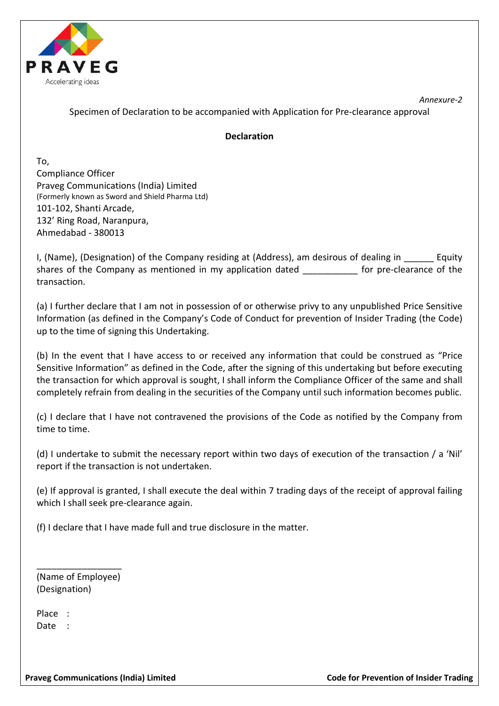

Specimen of Declaration to be accompanied with Application for Pre-clearance approval

## **Declaration**

To, Compliance Officer Praveg Communications (India) Limited (Formerly known as Sword and Shield Pharma Ltd) 101-102, Shanti Arcade, 132' Ring Road, Naranpura, Ahmedabad - 380013

I, (Name), (Designation) of the Company residing at (Address), am desirous of dealing in Equity shares of the Company as mentioned in my application dated for pre-clearance of the transaction.

(a) I further declare that I am not in possession of or otherwise privy to any unpublished Price Sensitive Information (as defined in the Company's Code of Conduct for prevention of Insider Trading (the Code) up to the time of signing this Undertaking.

(b) In the event that I have access to or received any information that could be construed as "Price Sensitive Information" as defined in the Code, after the signing of this undertaking but before executing the transaction for which approval is sought, I shall inform the Compliance Officer of the same and shall completely refrain from dealing in the securities of the Company until such information becomes public.

(c) I declare that I have not contravened the provisions of the Code as notified by the Company from time to time.

(d) I undertake to submit the necessary report within two days of execution of the transaction / a 'Nil' report if the transaction is not undertaken.

(e) If approval is granted, I shall execute the deal within 7 trading days of the receipt of approval failing which I shall seek pre-clearance again.

(f) I declare that I have made full and true disclosure in the matter.

\_\_\_\_\_\_\_\_\_\_\_\_\_\_\_\_\_ (Name of Employee) (Designation)

Place : Date :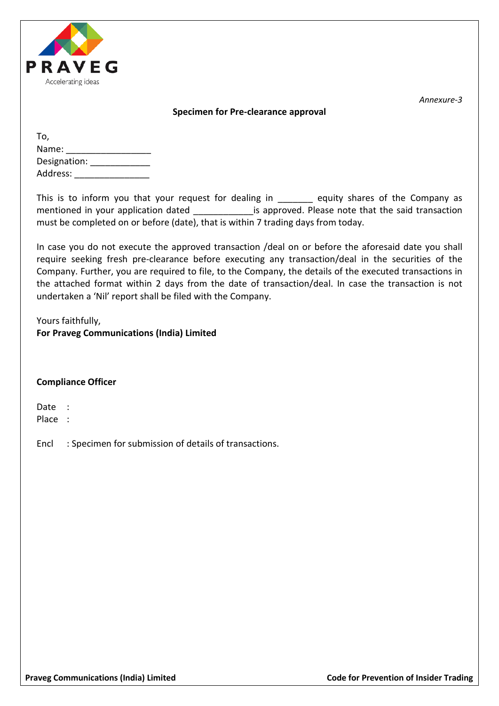

#### **Specimen for Pre-clearance approval**

*Annexure-3*

| To,          |  |
|--------------|--|
| Name:        |  |
| Designation: |  |
| Address:     |  |

This is to inform you that your request for dealing in equity shares of the Company as mentioned in your application dated **the said transaction** is approved. Please note that the said transaction must be completed on or before (date), that is within 7 trading days from today.

In case you do not execute the approved transaction /deal on or before the aforesaid date you shall require seeking fresh pre-clearance before executing any transaction/deal in the securities of the Company. Further, you are required to file, to the Company, the details of the executed transactions in the attached format within 2 days from the date of transaction/deal. In case the transaction is not undertaken a 'Nil' report shall be filed with the Company.

Yours faithfully, **For Praveg Communications (India) Limited**

#### **Compliance Officer**

Date :

Place :

Encl : Specimen for submission of details of transactions.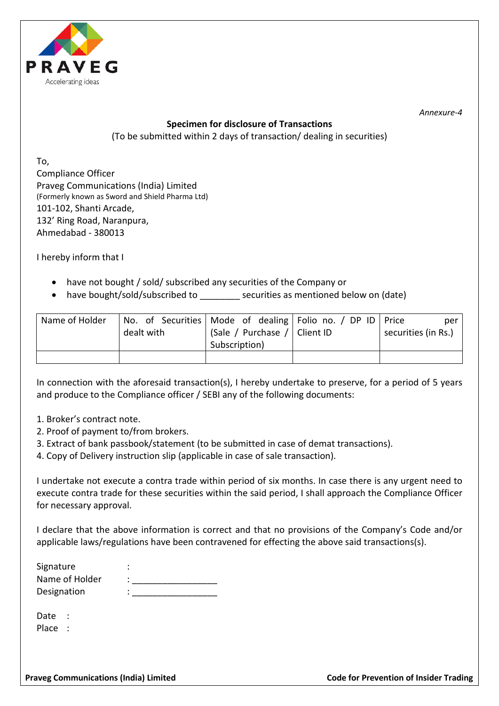

# **Specimen for disclosure of Transactions**

(To be submitted within 2 days of transaction/ dealing in securities)

To, Compliance Officer Praveg Communications (India) Limited (Formerly known as Sword and Shield Pharma Ltd) 101-102, Shanti Arcade, 132' Ring Road, Naranpura, Ahmedabad - 380013

I hereby inform that I

- have not bought / sold/ subscribed any securities of the Company or
- have bought/sold/subscribed to \_\_\_\_\_\_\_\_ securities as mentioned below on (date)

| Name of Holder |            |                              | No. of Securities   Mode of dealing   Folio no. / DP ID   Price | per                 |  |
|----------------|------------|------------------------------|-----------------------------------------------------------------|---------------------|--|
|                | dealt with | (Sale / Purchase / Client ID |                                                                 | securities (in Rs.) |  |
|                |            | Subscription)                |                                                                 |                     |  |
|                |            |                              |                                                                 |                     |  |

In connection with the aforesaid transaction(s), I hereby undertake to preserve, for a period of 5 years and produce to the Compliance officer / SEBI any of the following documents:

- 1. Broker's contract note.
- 2. Proof of payment to/from brokers.
- 3. Extract of bank passbook/statement (to be submitted in case of demat transactions).
- 4. Copy of Delivery instruction slip (applicable in case of sale transaction).

I undertake not execute a contra trade within period of six months. In case there is any urgent need to execute contra trade for these securities within the said period, I shall approach the Compliance Officer for necessary approval.

I declare that the above information is correct and that no provisions of the Company's Code and/or applicable laws/regulations have been contravened for effecting the above said transactions(s).

| Signature      | ٠ |
|----------------|---|
| Name of Holder |   |
| Designation    | ٠ |
|                |   |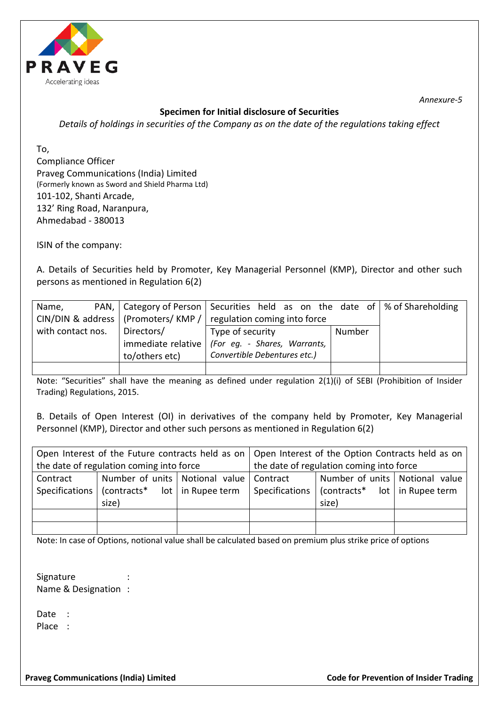

# **Specimen for Initial disclosure of Securities**

*Details of holdings in securities of the Company as on the date of the regulations taking effect*

To, Compliance Officer Praveg Communications (India) Limited (Formerly known as Sword and Shield Pharma Ltd) 101-102, Shanti Arcade, 132' Ring Road, Naranpura, Ahmedabad - 380013

ISIN of the company:

A. Details of Securities held by Promoter, Key Managerial Personnel (KMP), Director and other such persons as mentioned in Regulation 6(2)

| Name,             |  | PAN, $\vert$ Category of Person $\vert$ Securities held as on the date of $\vert \%$ of Shareholding |                              |  |  |  |  |        |  |  |
|-------------------|--|------------------------------------------------------------------------------------------------------|------------------------------|--|--|--|--|--------|--|--|
|                   |  | CIN/DIN & address   (Promoters/ KMP /                                                                | regulation coming into force |  |  |  |  |        |  |  |
| with contact nos. |  | Directors/                                                                                           | Type of security             |  |  |  |  | Number |  |  |
|                   |  | immediate relative   (For eg. - Shares, Warrants,                                                    |                              |  |  |  |  |        |  |  |
|                   |  | to/others etc)                                                                                       | Convertible Debentures etc.) |  |  |  |  |        |  |  |
|                   |  |                                                                                                      |                              |  |  |  |  |        |  |  |

Note: "Securities" shall have the meaning as defined under regulation 2(1)(i) of SEBI (Prohibition of Insider Trading) Regulations, 2015.

B. Details of Open Interest (OI) in derivatives of the company held by Promoter, Key Managerial Personnel (KMP), Director and other such persons as mentioned in Regulation 6(2)

|          |                                                                  | Open Interest of the Future contracts held as on $\vert$ Open Interest of the Option Contracts held as on $\vert$ |                                                           |  |  |  |
|----------|------------------------------------------------------------------|-------------------------------------------------------------------------------------------------------------------|-----------------------------------------------------------|--|--|--|
|          | the date of regulation coming into force                         | the date of regulation coming into force                                                                          |                                                           |  |  |  |
| Contract | Number of units   Notional value   Contract                      |                                                                                                                   | Number of units   Notional value                          |  |  |  |
|          | Specifications $ $ (contracts <sup>*</sup> lot $ $ in Rupee term | Specifications                                                                                                    | $\vert$ (contracts <sup>*</sup> lot $\vert$ in Rupee term |  |  |  |
|          | size)                                                            |                                                                                                                   | size)                                                     |  |  |  |
|          |                                                                  |                                                                                                                   |                                                           |  |  |  |
|          |                                                                  |                                                                                                                   |                                                           |  |  |  |

Note: In case of Options, notional value shall be calculated based on premium plus strike price of options

Signature Name & Designation :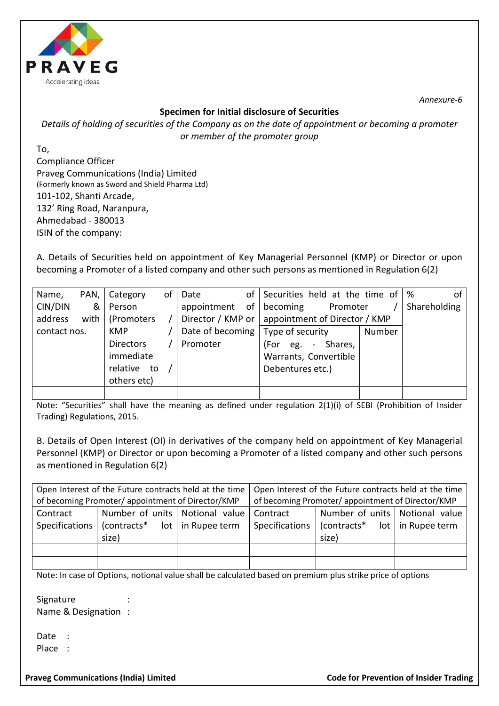

## **Specimen for Initial disclosure of Securities**

*Details of holding of securities of the Company as on the date of appointment or becoming a promoter or member of the promoter group*

To, Compliance Officer Praveg Communications (India) Limited (Formerly known as Sword and Shield Pharma Ltd) 101-102, Shanti Arcade, 132' Ring Road, Naranpura, Ahmedabad - 380013 ISIN of the company:

A. Details of Securities held on appointment of Key Managerial Personnel (KMP) or Director or upon becoming a Promoter of a listed company and other such persons as mentioned in Regulation 6(2)

| Name,        |   | PAN,   Category   | of | Date                                | of Securities held at the time of $\frac{1}{2}$   |        | οf           |
|--------------|---|-------------------|----|-------------------------------------|---------------------------------------------------|--------|--------------|
| CIN/DIN      | & | Person            |    | appointment                         | of becoming<br>Promoter                           |        | Shareholding |
| address      |   | with   (Promoters |    |                                     | Director / KMP or   appointment of Director / KMP |        |              |
| contact nos. |   | <b>KMP</b>        |    | Date of becoming   Type of security |                                                   | Number |              |
|              |   | <b>Directors</b>  |    | Promoter                            | Shares,<br>(For<br>eg.<br>$\sim$                  |        |              |
|              |   | immediate         |    |                                     | Warrants, Convertible                             |        |              |
|              |   | relative to       |    |                                     | Debentures etc.)                                  |        |              |
|              |   | others etc)       |    |                                     |                                                   |        |              |
|              |   |                   |    |                                     |                                                   |        |              |

Note: "Securities" shall have the meaning as defined under regulation 2(1)(i) of SEBI (Prohibition of Insider Trading) Regulations, 2015.

B. Details of Open Interest (OI) in derivatives of the company held on appointment of Key Managerial Personnel (KMP) or Director or upon becoming a Promoter of a listed company and other such persons as mentioned in Regulation 6(2)

|                | Open Interest of the Future contracts held at the time |                       | Open Interest of the Future contracts held at the time |                                  |                     |  |  |
|----------------|--------------------------------------------------------|-----------------------|--------------------------------------------------------|----------------------------------|---------------------|--|--|
|                | of becoming Promoter/appointment of Director/KMP       |                       | of becoming Promoter/appointment of Director/KMP       |                                  |                     |  |  |
| Contract       | Number of units   Notional value                       |                       | Contract                                               | Number of units   Notional value |                     |  |  |
| Specifications | (contracts*                                            | $lot$   in Rupee term | Specifications                                         | (contracts*                      | $lot$ in Rupee term |  |  |
|                | size)                                                  |                       |                                                        | size)                            |                     |  |  |
|                |                                                        |                       |                                                        |                                  |                     |  |  |
|                |                                                        |                       |                                                        |                                  |                     |  |  |

Note: In case of Options, notional value shall be calculated based on premium plus strike price of options

Signature Name & Designation :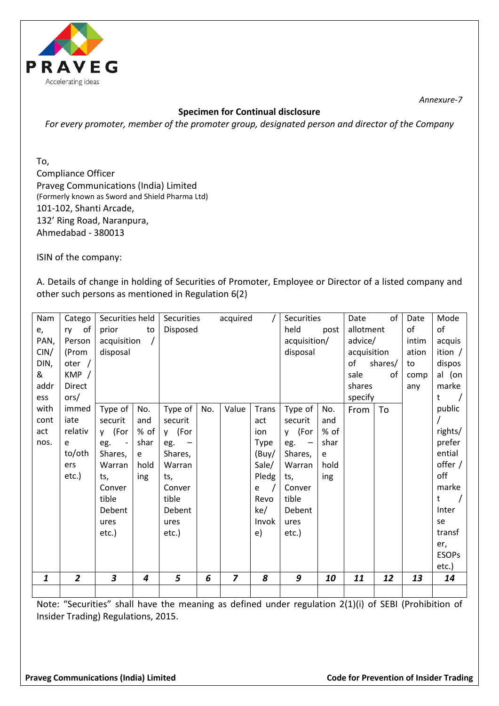

# **Specimen for Continual disclosure**

*For every promoter, member of the promoter group, designated person and director of the Company*

To,

Compliance Officer Praveg Communications (India) Limited (Formerly known as Sword and Shield Pharma Ltd) 101-102, Shanti Arcade, 132' Ring Road, Naranpura, Ahmedabad - 380013

ISIN of the company:

A. Details of change in holding of Securities of Promoter, Employee or Director of a listed company and other such persons as mentioned in Regulation 6(2)

| Nam              | Catego         | Securities held                 |      | Securities<br>acquired |          |                |              | Securities   |                           | Date        | of      | Date  | Mode            |
|------------------|----------------|---------------------------------|------|------------------------|----------|----------------|--------------|--------------|---------------------------|-------------|---------|-------|-----------------|
| e,               | of<br>ry       | prior                           | to   |                        | Disposed |                |              |              | held<br>allotment<br>post |             |         | of    | of              |
| PAN,             | Person         | acquisition                     |      |                        |          |                |              | acquisition/ |                           | advice/     |         | intim | acquis          |
| CIN/             | (Prom          | disposal                        |      |                        |          |                |              | disposal     |                           | acquisition |         | ation | ition $/$       |
| DIN,             | oter $/$       |                                 |      |                        |          |                |              |              |                           | of          | shares/ | to    | dispos          |
| &                | KMP /          |                                 |      |                        |          |                |              |              |                           | sale        | of      | comp  | al (on          |
| addr             | Direct         |                                 |      |                        |          |                |              |              |                           | shares      |         | any   | marke           |
| ess              | ors/           |                                 |      |                        |          |                |              |              |                           | specify     |         |       | $\sqrt{ }$<br>t |
| with             | immed          | Type of                         | No.  | Type of                | No.      | Value          | <b>Trans</b> | Type of      | No.                       | From        | To      |       | public          |
| cont             | iate           | securit                         | and  | securit                |          |                | act          | securit      | and                       |             |         |       |                 |
| act              | relativ        | y (For                          | % of | y (For                 |          |                | ion          | y (For       | % of                      |             |         |       | rights/         |
| nos.             | e              | eg.<br>$\overline{\phantom{a}}$ | shar | eg.                    |          |                | Type         | eg.          | shar                      |             |         |       | prefer          |
|                  | to/oth         | Shares,                         | e    | Shares,                |          |                | (Buy/        | Shares,      | e                         |             |         |       | ential          |
|                  | ers            | Warran                          | hold | Warran                 |          |                | Sale/        | Warran       | hold                      |             |         |       | offer /         |
|                  | etc.)          | ts,                             | ing  | ts,                    |          |                | Pledg        | ts,          | ing                       |             |         |       | off             |
|                  |                | Conver                          |      | Conver                 |          |                | e            | Conver       |                           |             |         |       | marke           |
|                  |                | tible                           |      | tible                  |          |                | Revo         | tible        |                           |             |         |       | t<br>$\sqrt{2}$ |
|                  |                | Debent                          |      | Debent                 |          |                | ke/          | Debent       |                           |             |         |       | Inter           |
|                  |                | ures                            |      | ures                   |          |                | Invok        | ures         |                           |             |         |       | se              |
|                  |                | $etc.$ )                        |      | etc.)                  |          |                | e)           | etc.)        |                           |             |         |       | transf          |
|                  |                |                                 |      |                        |          |                |              |              |                           |             |         |       | er,             |
|                  |                |                                 |      |                        |          |                |              |              |                           |             |         |       | <b>ESOPs</b>    |
|                  |                |                                 |      |                        |          |                |              |              |                           |             |         |       | etc.)           |
| $\boldsymbol{1}$ | $\overline{2}$ | 3                               | 4    | 5                      | 6        | $\overline{z}$ | 8            | 9            | 10                        | 11          | 12      | 13    | 14              |
|                  |                |                                 |      |                        |          |                |              |              |                           |             |         |       |                 |

Note: "Securities" shall have the meaning as defined under regulation 2(1)(i) of SEBI (Prohibition of Insider Trading) Regulations, 2015.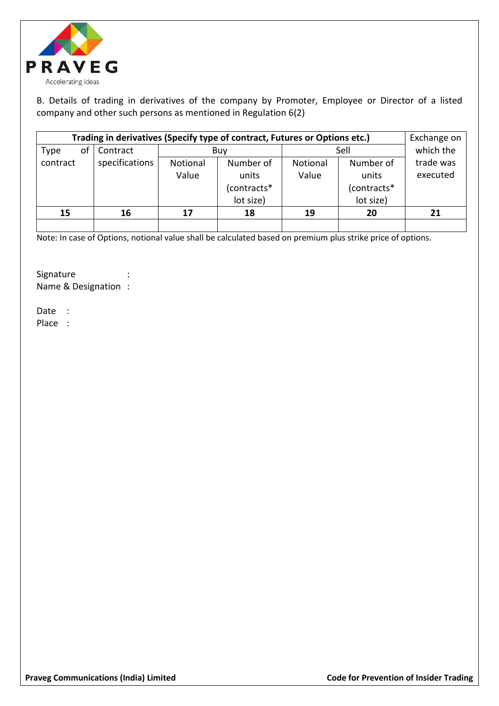

B. Details of trading in derivatives of the company by Promoter, Employee or Director of a listed company and other such persons as mentioned in Regulation 6(2)

| Trading in derivatives (Specify type of contract, Futures or Options etc.) | Exchange on    |                                   |             |           |             |          |
|----------------------------------------------------------------------------|----------------|-----------------------------------|-------------|-----------|-------------|----------|
| of<br><b>Type</b>                                                          | Contract       |                                   | Buy         | Sell      | which the   |          |
| contract                                                                   | specifications | Number of<br>Notional<br>Notional |             | Number of | trade was   |          |
|                                                                            |                | Value                             | units       | Value     | units       | executed |
|                                                                            |                |                                   | (contracts* |           | (contracts* |          |
|                                                                            |                |                                   | lot size)   |           | lot size)   |          |
| 15                                                                         | 16             | 17                                | 18          | 19        | 20          | 21       |
|                                                                            |                |                                   |             |           |             |          |

Note: In case of Options, notional value shall be calculated based on premium plus strike price of options.

Signature : Name & Designation :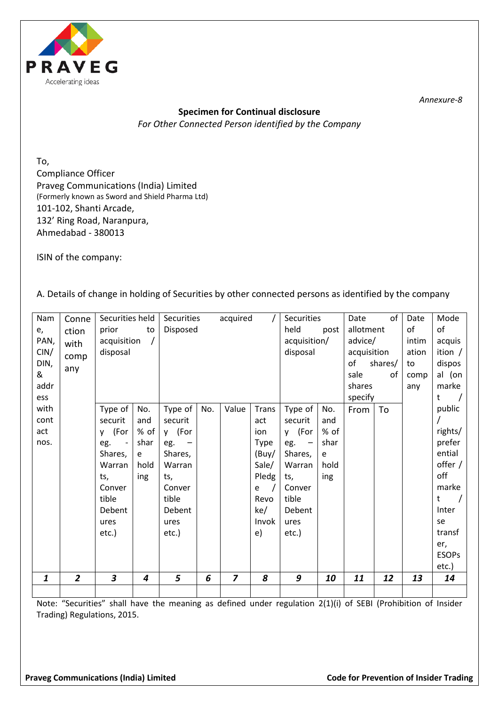

# **Specimen for Continual disclosure** *For Other Connected Person identified by the Company*

To, Compliance Officer Praveg Communications (India) Limited (Formerly known as Sword and Shield Pharma Ltd) 101-102, Shanti Arcade, 132' Ring Road, Naranpura, Ahmedabad - 380013

ISIN of the company:

A. Details of change in holding of Securities by other connected persons as identified by the company

| $\mathbf{1}$ | $\overline{2}$ | 3                               | $\overline{\mathbf{4}}$ | 5                 | 6        | $\overline{z}$ | 8            | 9                  | 10   | 11          | 12      | 13    | 14              |
|--------------|----------------|---------------------------------|-------------------------|-------------------|----------|----------------|--------------|--------------------|------|-------------|---------|-------|-----------------|
|              |                |                                 |                         |                   |          |                |              |                    |      |             |         |       | etc.)           |
|              |                |                                 |                         |                   |          |                |              |                    |      |             |         |       | <b>ESOPs</b>    |
|              |                |                                 |                         |                   |          |                |              |                    |      |             |         |       | er,             |
|              |                | etc.)                           |                         | etc.)             |          |                | e)           | etc.)              |      |             |         |       | transf          |
|              |                | ures                            |                         | ures              |          |                | Invok        | ures               |      |             |         |       | se              |
|              |                | Debent                          |                         | Debent            |          |                | ke/          | Debent             |      |             |         |       | Inter           |
|              |                | tible                           |                         | tible             |          |                | Revo         | tible              |      |             |         |       | t<br>$\sqrt{ }$ |
|              |                | Conver                          |                         | Conver            |          |                | e            | Conver             |      |             |         |       | marke           |
|              |                | ts,                             | ing                     | ts,               |          |                | Pledg        | ts,                | ing  |             |         |       | off             |
|              |                | Warran                          | hold                    | Warran            |          |                | Sale/        | Warran             | hold |             |         |       | offer /         |
|              |                | Shares,                         | e                       | Shares,           |          |                | (Buy/        | Shares,            | e    |             |         |       | ential          |
| nos.         |                | eg.<br>$\overline{\phantom{a}}$ | shar                    | eg.               |          |                | <b>Type</b>  | eg.                | shar |             |         |       | prefer          |
| act          |                | (For<br>y.                      | % of                    | y (For            |          |                | ion          | y (For             | % of |             |         |       | rights/         |
| cont         |                | securit                         | and                     | securit           |          |                | act          | securit            | and  |             |         |       |                 |
| with         |                | Type of                         | No.                     | Type of           | No.      | Value          | <b>Trans</b> | Type of            | No.  | From        | To      |       | public          |
| ess          |                |                                 |                         |                   |          |                |              |                    |      | specify     |         |       | $\sqrt{ }$<br>t |
| addr         |                |                                 |                         |                   |          |                |              |                    |      | shares      |         | any   | marke           |
| &            |                |                                 |                         |                   |          |                |              |                    |      | sale        | of      | comp  | al (on          |
| DIN,         | any            |                                 |                         |                   |          |                |              |                    |      | of          | shares/ | to    | dispos          |
| CIN/         | comp           | disposal                        |                         |                   |          |                |              | disposal           |      | acquisition |         | ation | ition $/$       |
| PAN,         | with           | acquisition                     |                         |                   |          |                |              | acquisition/       |      | advice/     |         | intim | acquis          |
| e,           | ction          | prior                           | to                      |                   | Disposed |                |              |                    | post | allotment   |         | of    | of              |
| Nam          | Conne          | Securities held                 |                         | <b>Securities</b> |          | acquired       |              | Securities<br>held |      | Date        | of      | Date  | Mode            |
|              |                |                                 |                         |                   |          |                |              |                    |      |             |         |       |                 |

Note: "Securities" shall have the meaning as defined under regulation 2(1)(i) of SEBI (Prohibition of Insider Trading) Regulations, 2015.